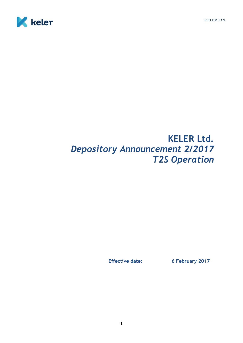

# **KELER Ltd.** *Depository Announcement 2/2017 T2S Operation*

**Effective date: 6 February 2017**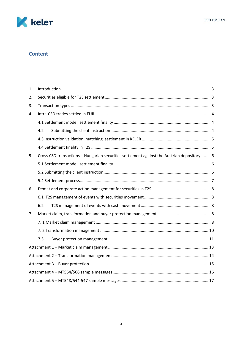

# **Content**

| 1. |                                                                                            |  |
|----|--------------------------------------------------------------------------------------------|--|
| 2. |                                                                                            |  |
| 3. |                                                                                            |  |
| 4. |                                                                                            |  |
|    |                                                                                            |  |
|    | 4.2                                                                                        |  |
|    |                                                                                            |  |
|    |                                                                                            |  |
| 5  | Cross-CSD transactions - Hungarian securities settlement against the Austrian depository 6 |  |
|    |                                                                                            |  |
|    |                                                                                            |  |
|    |                                                                                            |  |
| 6  |                                                                                            |  |
|    |                                                                                            |  |
|    | 6.2                                                                                        |  |
| 7  |                                                                                            |  |
|    |                                                                                            |  |
|    |                                                                                            |  |
|    | 7.3                                                                                        |  |
|    |                                                                                            |  |
|    |                                                                                            |  |
|    |                                                                                            |  |
|    |                                                                                            |  |
|    |                                                                                            |  |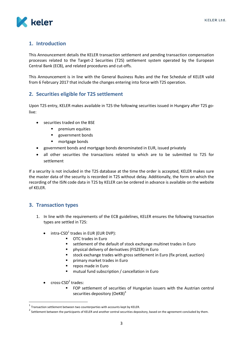

# <span id="page-2-0"></span>**1. Introduction**

This Announcement details the KELER transaction settlement and pending transaction compensation processes related to the Target-2 Securities (T2S) settlement system operated by the European Central Bank (ECB), and related procedures and cut-offs.

This Announcement is in line with the General Business Rules and the Fee Schedule of KELER valid from 6 February 2017 that include the changes entering into force with T2S operation.

# <span id="page-2-1"></span>**2. Securities eligible for T2S settlement**

Upon T2S entry, KELER makes available in T2S the following securities issued in Hungary after T2S golive:

- securities traded on the BSE
	- **P** premium equities
	- **government bonds**
	- **•** mortgage bonds
- government bonds and mortgage bonds denominated in EUR, issued privately
- all other securities the transactions related to which are to be submitted to T2S for settlement

If a security is not included in the T2S database at the time the order is accepted, KELER makes sure the master data of the security is recorded in T2S without delay. Additionally, the form on which the recording of the ISIN code data in T2S by KELER can be ordered in advance is available on the website of KELER.

### <span id="page-2-2"></span>**3. Transaction types**

- 1. In line with the requirements of the ECB guidelines, KELER ensures the following transaction types are settled in T2S:
	- $\bullet$  intra-CSD<sup>1</sup> trades in EUR (EUR DVP):
		- **OTC trades in Euro**
		- **EXECTE Settlement of the default of stock exchange multinet trades in Euro**
		- physical delivery of derivatives (FISZER) in Euro
		- stock exchange trades with gross settlement in Euro (fix priced, auction)
		- primary market trades in Euro
		- repos made in Euro
		- **"** mutual fund subscription / cancellation in Euro
	- $\bullet$  cross-CSD<sup>2</sup> trades:

 $\overline{a}$ 

 FOP settlement of securities of Hungarian issuers with the Austrian central securities depository (OeKB) $3$ 

 $^1$  Transaction settlement between two counterparties with accounts kept by KELER.

 $^2$  Settlement between the participants of KELER and another central securities depository, based on the agreement concluded by them.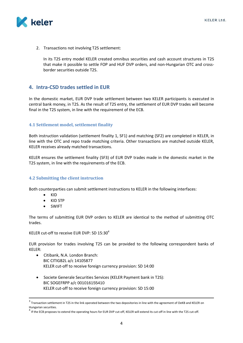

2. Transactions not involving T2S settlement:

In its T2S entry model KELER created omnibus securities and cash account structures in T2S that make it possible to settle FOP and HUF DVP orders, and non-Hungarian OTC and crossborder securities outside T2S.

# <span id="page-3-0"></span>**4. Intra-CSD trades settled in EUR**

In the domestic market, EUR DVP trade settlement between two KELER participants is executed in central bank money, in T2S. As the result of T2S entry, the settlement of EUR DVP trades will become final in the T2S system, in line with the requirement of the ECB.

#### <span id="page-3-1"></span>**4.1 Settlement model, settlement finality**

Both instruction validation (settlement finality 1, SF1) and matching (SF2) are completed in KELER, in line with the OTC and repo trade matching criteria. Other transactions are matched outside KELER, KELER receives already matched transactions.

KELER ensures the settlement finality (SF3) of EUR DVP trades made in the domestic market in the T2S system, in line with the requirements of the ECB.

#### <span id="page-3-2"></span>**4.2 Submitting the client instruction**

Both counterparties can submit settlement instructions to KELER in the following interfaces:

KID

 $\overline{\phantom{a}}$ 

- KID STP
- SWIFT

The terms of submitting EUR DVP orders to KELER are identical to the method of submitting OTC trades.

KELER cut-off to receive EUR DVP: SD 15:30<sup>4</sup>

EUR provision for trades involving T2S can be provided to the following correspondent banks of KELER:

- Citibank, N.A. London Branch: BIC CITIGB2L a/c 14105877 KELER cut-off to receive foreign currency provision: SD 14:00
- Societe Generale Securities Services (KELER Payment bank in T2S): BIC SOGEFRPP a/c 001016155410 KELER cut-off to receive foreign currency provision: SD 15:00

 $^3$  Transaction settlement in T2S in the link operated between the two depositories in line with the agreement of OeKB and KELER on Hungarian securities.

<sup>&</sup>lt;sup>4</sup> If the ECB proposes to extend the operating hours for EUR DVP cut-off, KELER will extend its cut-off in line with the T2S cut-off.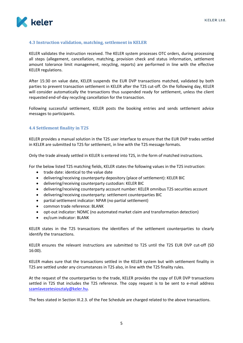

#### <span id="page-4-0"></span>**4.3 Instruction validation, matching, settlement in KELER**

KELER validates the instruction received. The KELER system processes OTC orders, during processing all steps (allegement, cancellation, matching, provision check and status information, settlement amount tolerance limit management, recycling, reports) are performed in line with the effective KELER regulations.

After 15:30 on value date, KELER suspends the EUR DVP transactions matched, validated by both parties to prevent transaction settlement in KELER after the T2S cut-off. On the following day, KELER will consider automatically the transactions thus suspended ready for settlement, unless the client requested end-of-day recycling cancellation for the transaction.

Following successful settlement, KELER posts the booking entries and sends settlement advice messages to participants.

#### <span id="page-4-1"></span>**4.4 Settlement finality in T2S**

KELER provides a manual solution in the T2S user interface to ensure that the EUR DVP trades settled in KELER are submitted to T2S for settlement, in line with the T2S message formats.

Only the trade already settled in KELER is entered into T2S, in the form of matched instructions.

For the below listed T2S matching fields, KELER states the following values in the T2S instruction:

- trade date: identical to the value date
- delivering/receiving counterparty depository (place of settlement): KELER BIC
- delivering/receiving counterparty custodian: KELER BIC
- delivering/receiving counterparty account number: KELER omnibus T2S securities account
- delivering/receiving counterparty: settlement counterparties BIC
- partial settlement indicator: NPAR (no partial settlement)
- common trade reference: BLANK
- opt-out indicator: NOMC (no automated market claim and transformation detection)
- ex/cum indicator: BLANK

KELER states in the T2S transactions the identifiers of the settlement counterparties to clearly identify the transactions.

KELER ensures the relevant instructions are submitted to T2S until the T2S EUR DVP cut-off (SD 16:00).

KELER makes sure that the transactions settled in the KELER system but with settlement finality in T2S are settled under any circumstances in T2S also, in line with the T2S finality rules.

At the request of the counterparties to the trade, KELER provides the copy of EUR DVP transactions settled in T2S that includes the T2S reference. The copy request is to be sent to e-mail address [szamlavezetesiosztaly@keler.hu.](mailto:szamlavezetesiosztaly@keler.hu)

The fees stated in Section III.2.3. of the Fee Schedule are charged related to the above transactions.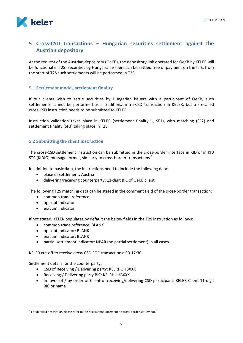

# <span id="page-5-0"></span>**5 Cross-CSD transactions – Hungarian securities settlement against the Austrian depository**

At the request of the Austrian depository (OeKB), the depository link operated for OeKB by KELER will be functional in T2S. Securities by Hungarian issuers can be settled free of payment on the link, from the start of T2S such settlements will be performed in T2S.

### <span id="page-5-1"></span>**5.1 Settlement model, settlement finality**

If our clients wish to settle securities by Hungarian issuers with a participant of OeKB, such settlements cannot be performed as a traditional intra-CSD transaction in KELER, but a so-called cross-CSD instruction needs to be submitted to KELER.

Instruction validation takes place in KELER (settlement finality 1, SF1), with matching (SF2) and settlement finality (SF3) taking place in T2S.

#### <span id="page-5-2"></span>**5.2 Submitting the client instruction**

The cross-CSD settlement instruction can be submitted in the cross-border interface in KID or in KID STP (KIDIO) message format, similarly to cross-border transactions.<sup>5</sup>

In addition to basic data, the instructions need to include the following data:

- place of settlement: Austria
- delivering/receiving counterparty: 11-digit BIC of OeKB client

The following T2S matching data can be stated in the comment field of the cross-border transaction:

- common trade reference
- opt-out indicator
- ex/cum indicator

If not stated, KELER populates by default the below fields in the T2S instruction as follows:

- common trade reference: BLANK
- opt-out indicator: BLANK
- ex/cum indicator: BLANK
- partial settlement indicator: NPAR (no partial settlement) in all cases

KELER cut-off to receive cross-CSD FOP transactions: SD 17:30

Settlement details for the counterparty:

 $\overline{\phantom{a}}$ 

- CSD of Receiving / Delivering party: KELRHUHBXXX
- Receiving / Delivering party BIC: KELRHUHBXXX
- In favor of / by order of Client of receiving/delivering CSD participant: KELER Client 11-digit BIC or name

<sup>&</sup>lt;sup>5</sup> For detailed description please refer to the KELER Announcement on cross-border settlement.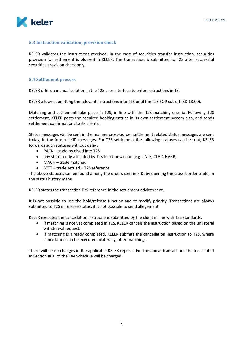

#### **5.3 Instruction validation, provision check**

KELER validates the instructions received. In the case of securities transfer instruction, securities provision for settlement is blocked in KELER. The transaction is submitted to T2S after successful securities provision check only.

#### <span id="page-6-0"></span>**5.4 Settlement process**

KELER offers a manual solution in the T2S user interface to enter instructions in TS.

KELER allows submitting the relevant instructions into T2S until the T2S FOP cut-off (SD 18:00).

Matching and settlement take place in T2S, in line with the T2S matching criteria. Following T2S settlement, KELER posts the required booking entries in its own settlement system also, and sends settlement confirmations to its clients.

Status messages will be sent in the manner cross-border settlement related status messages are sent today, in the form of KID messages. For T2S settlement the following statuses can be sent, KELER forwards such statuses without delay:

- PACK trade received into T2S
- any status code allocated by T2S to a transaction (e.g. LATE, CLAC, NARR)
- MACH trade matched
- SETT trade settled + T2S reference

The above statuses can be found among the orders sent in KID, by opening the cross-border trade, in the status history menu.

KELER states the transaction T2S reference in the settlement advices sent.

It is not possible to use the hold/release function and to modify priority. Transactions are always submitted to T2S in release status, it is not possible to send allegement.

KELER executes the cancellation instructions submitted by the client in line with T2S standards:

- if matching is not yet completed in T2S, KELER cancels the instruction based on the unilateral withdrawal request.
- If matching is already completed, KELER submits the cancellation instruction to T2S, where cancellation can be executed bilaterally, after matching.

There will be no changes in the applicable KELER reports. For the above transactions the fees stated in Section III.1. of the Fee Schedule will be charged.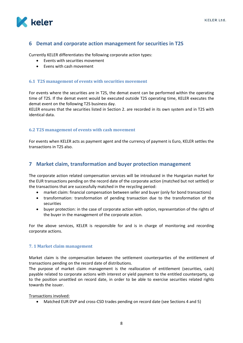

# <span id="page-7-0"></span>**6 Demat and corporate action management for securities in T2S**

Currently KELER differentiates the following corporate action types:

- Events with securities movement
- Fyens with cash movement

#### <span id="page-7-1"></span>**6.1 T2S management of events with securities movement**

For events where the securities are in T2S, the demat event can be performed within the operating time of T2S. If the demat event would be executed outside T2S operating time, KELER executes the demat event on the following T2S business day.

KELER ensures that the securities listed in Section 2. are recorded in its own system and in T2S with identical data.

#### <span id="page-7-2"></span>**6.2 T2S management of events with cash movement**

For events when KELER acts as payment agent and the currency of payment is Euro, KELER settles the transactions in T2S also.

### <span id="page-7-3"></span>**7 Market claim, transformation and buyer protection management**

The corporate action related compensation services will be introduced in the Hungarian market for the EUR transactions pending on the record date of the corporate action (matched but not settled) or the transactions that are successfully matched in the recycling period:

- market claim: financial compensation between seller and buyer (only for bond transactions)
- transformation: transformation of pending transaction due to the transformation of the securities
- buyer protection: in the case of corporate action with option, representation of the rights of the buyer in the management of the corporate action.

For the above services, KELER is responsible for and is in charge of monitoring and recording corporate actions.

#### <span id="page-7-4"></span>**7. 1 Market claim management**

Market claim is the compensation between the settlement counterparties of the entitlement of transactions pending on the record date of distributions.

The purpose of market claim management is the reallocation of entitlement (securities, cash) payable related to corporate actions with interest or yield payment to the entitled counterparty, up to the position unsettled on record date, in order to be able to exercise securities related rights towards the issuer.

Transactions involved:

Matched EUR DVP and cross-CSD trades pending on record date (see Sections 4 and 5)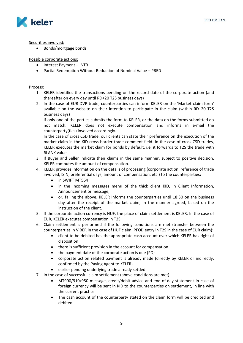

Securities involved:

• Bonds/mortgage bonds

Possible corporate actions:

- Interest Payment INTR
- Partial Redemption Without Reduction of Nominal Value PRED

Process:

- 1. KELER identifies the transactions pending on the record date of the corporate action (and thereafter on every day until RD+20 T2S business days)
- 2. In the case of EUR DVP trade, counterparties can inform KELER on the 'Market claim form' available on the website on their intention to participate in the claim (within RD+20 T2S business days)

If only one of the parties submits the form to KELER, or the data on the forms submitted do not match, KELER does not execute compensation and informs in e-mail the counterparty(ties) involved accordingly.

In the case of cross CSD trade, our clients can state their preference on the execution of the market claim in the KID cross-border trade comment field. In the case of cross-CSD trades, KELER executes the market claim for bonds by default, i.e. it forwards to T2S the trade with BLANK value.

- 3. If Buyer and Seller indicate their claims in the same manner, subject to positive decision, KELER computes the amount of compensation.
- 4. KELER provides information on the details of processing (corporate action, reference of trade involved, ISIN, preferential days, amount of compensation, etc.) to the counterparties:
	- in SWIFT MT564
	- in the Incoming messages menu of the thick client KID, in Client Information, Announcement or message,
	- or, failing the above, KELER informs the counterparties until 18:30 on the business day after the receipt of the market claim, in the manner agreed, based on the instruction of the client.
- 5. If the corporate action currency is HUF, the place of claim settlement is KELER. In the case of EUR, KELER executes compensation in T2S.
- 6. Claim settlement is performed if the following conditions are met (transfer between the counterparties in VIBER in the case of HUF claim, PFOD entry in T2S in the case of EUR claim):
	- client to be debited has the appropriate cash account over which KELER has right of disposition
	- there is sufficient provision in the account for compensation
	- the payment date of the corporate action is due (PD)
	- corporate action related payment is already made (directly by KELER or indirectly, confirmed by the Paying Agent to KELER)
	- earlier pending underlying trade already settled
- 7. In the case of successful claim settlement (above conditions are met):
	- MT900/910/950 message, credit/debit advice and end-of-day statement in case of foreign currency will be sent in KID to the counterparties on settlement, in line with the current practice
	- The cash account of the counterparty stated on the claim form will be credited and debited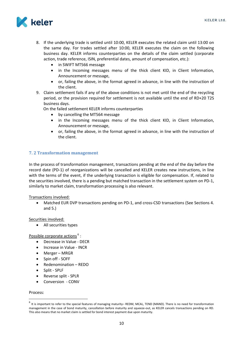

- 8. If the underlying trade is settled until 10:00, KELER executes the related claim until 13:00 on the same day. For trades settled after 10:00, KELER executes the claim on the following business day. KELER informs counterparties on the details of the claim settled (corporate action, trade reference, ISIN, preferential dates, amount of compensation, etc.):
	- in SWIFT MT566 message
	- in the Incoming messages menu of the thick client KID, in Client Information, Announcement or message,
	- or, failing the above, in the format agreed in advance, in line with the instruction of the client.
- 9. Claim settlement fails if any of the above conditions is not met until the end of the recycling period, or the provision required for settlement is not available until the end of RD+20 T2S business days.

On the failed settlement KELER informs counterparties

- by cancelling the MT564 message
- in the Incoming messages menu of the thick client KID, in Client Information, Announcement or message,
- or, failing the above, in the format agreed in advance, in line with the instruction of the client.

#### <span id="page-9-0"></span>**7. 2 Transformation management**

In the process of transformation management, transactions pending at the end of the day before the record date (PD-1) of reorganizations will be cancelled and KELER creates new instructions, in line with the terms of the event, if the underlying transaction is eligible for compensation. If, related to the securities involved, there is a pending but matched transaction in the settlement system on PD-1, similarly to market claim, transformation processing is also relevant.

Transactions involved:

 Matched EUR DVP transactions pending on PD-1, and cross-CSD transactions (See Sections 4. and 5.)

Securities involved:

All securities types

Possible corporate actions<sup>6</sup>:

- Decrease in Value DECR
- Increase in Value INCR
- Merger MRGR
- Spin off SOFF
- Redenomination REDO
- Split SPLF
- Reverse split SPLR
- Conversion CONV

#### Process:

 $\overline{\phantom{a}}$ 

<sup>&</sup>lt;sup>6</sup> It is important to refer to the special features of managing maturity– REDM, MCAL, TEND (MAND). There is no need for transformation management in the case of bond maturity, cancellation before maturity and squeeze-out, as KELER cancels transactions pending on RD. This also means that no market claim is settled for bond interest payment due upon maturity.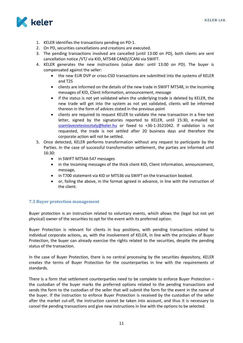

- 1. KELER identifies the transactions pending on PD-1.
- 2. On PD, securities cancellations and creations are executed.
- 3. The pending transactions involved are cancelled (until 13:00 on PD), both clients are sent cancellation notice /VT/ via KID, MT548 CAND//CANI via SWIFT.
- 4. KELER generates the new instructions (value date: until 13:00 on PD). The buyer is compensated against the seller:
	- the new EUR DVP or cross-CSD transactions are submitted into the systems of KELER and T2S
	- clients are informed on the details of the new trade in SWIFT MT548, in the Incoming messages of KID, Client Information, announcement, message
	- if the status is not yet validated when the underlying trade is deleted by KELER, the new trade will get into the system as not yet validated, clients will be informed thereon in the form of advices stated in the previous point
	- clients are required to request KELER to validate the new transaction in a free text letter, signed by the signatories reported to KELER, until 15:30, e-mailed to [szamlavezetesiosztaly@keler.hu](mailto:szamlavezetesiosztaly@keler.hu) or faxed to +36-1-3521042. If validation is not requested, the trade is not settled after 20 business days and therefore the corporate action will not be settled.
- 5. Once detected, KELER performs transformation without any request to participate by the Parties. In the case of successful transformation settlement, the parties are informed until 16:30:
	- in SWIFT MT544-547 messages
	- in the Incoming messages of the thick client KID, Client Information, announcement, message,
	- in T700 statement via KID or MT536 via SWIFT on the transaction booked.
	- or, failing the above, in the format agreed in advance, in line with the instruction of the client.

#### <span id="page-10-0"></span>**7.3 Buyer protection management**

Buyer protection is an instruction related to voluntary events, which allows the (legal but not yet physical) owner of the securities to opt for the event with its preferred option.

Buyer Protection is relevant for clients in buy positions, with pending transactions related to individual corporate actions, as, with the involvement of KELER, in line with the principles of Buyer Protection, the buyer can already exercise the rights related to the securities, despite the pending status of the transaction.

In the case of Buyer Protection, there is no central processing by the securities depository, KELER creates the terms of Buyer Protection for the counterparties in line with the requirements of standards.

There is a form that settlement counterparties need to be complete to enforce Buyer Protection – the custodian of the buyer marks the preferred options related to the pending transactions and sends the form to the custodian of the seller that will submit the form for the event in the name of the buyer. If the instruction to enforce Buyer Protection is received by the custodian of the seller after the market cut-off, the instruction cannot be taken into account, and thus it is necessary to cancel the pending transactions and give new instructions in line with the options to be selected.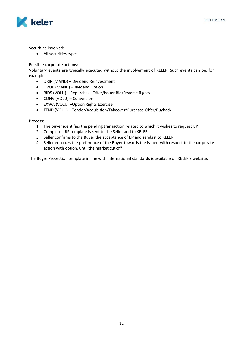

Securities involved:

All securities types

#### Possible corporate actions:

Voluntary events are typically executed without the involvement of KELER. Such events can be, for example:

- DRIP (MAND) Dividend Reinvestment
- DVOP (MAND) –Dividend Option
- BIDS (VOLU) Repurchase Offer/Issuer Bid/Reverse Rights
- CONV (VOLU) Conversion
- EXWA (VOLU) –Option Rights Exercise
- TEND (VOLU) Tender/Acquisition/Takeover/Purchase Offer/Buyback

Process:

- 1. The buyer identifies the pending transaction related to which it wishes to request BP
- 2. Completed BP template is sent to the Seller and to KELER
- 3. Seller confirms to the Buyer the acceptance of BP and sends it to KELER
- 4. Seller enforces the preference of the Buyer towards the issuer, with respect to the corporate action with option, until the market cut-off

The Buyer Protection template in line with international standards is available on KELER's website.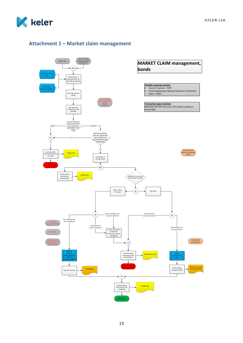

# <span id="page-12-0"></span>**Attachment 1 – Market claim management**

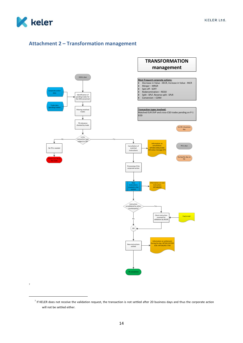

7

 $\overline{\phantom{a}}$ 

# <span id="page-13-0"></span>**Attachment 2 – Transformation management**



<sup>&</sup>lt;sup>7</sup> If KELER does not receive the validation request, the transaction is not settled after 20 business days and thus the corporate action will not be settled either.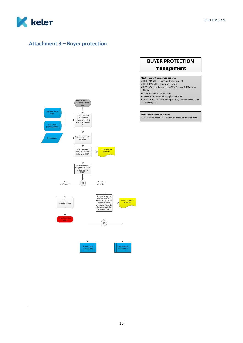

 $\overline{\phantom{a}}$ 

# <span id="page-14-0"></span>**Attachment 3 – Buyer protection**

# **BUYER PROTECTION management**

**Most frequent <b>corporate** a**ctions:**<br>• DRIP (MAND) – Dividend Reinvestment<br>• DVOP (MAND) – Dividend Option<br>• BIDS (VOLU) – Repurchase Offer/Issuer Bid/Reverse<br>Rights

- 
- CONV (VOLU) Conversion<br>● EXWA (VOLU) Option Rights Exercise<br>● TEND (VOLU) Tender/Acquisition/Takeover/Purchase

Offer/Buyback

**Transaction types involved:** EUR DVP and cross-CSD trades pending on record date

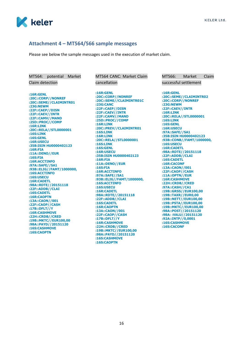

#### <span id="page-15-0"></span>**Attachment 4 – MT564/566 sample messages**

Please see below the sample messages used in the execution of market claim.

MT564: potential Market Claim detection

**:16R:GENL :20C::CORP//NONREF :20C::SEME//CLAIMINTR01 :23G:NEWM :22F::CAEP//DISN :22F::CAEV//INTR :22F::CAMV//MAND :25D::PROC//COMP :16R:LINK :20C::RELA//STL0000001 :16S:LINK :16S:GENL :16R:USECU :35B:ISIN HU0000402123 :16R:FIA :11A::DENO//EUR :16S:FIA :16R:ACCTINFO :97A::SAFE//SA1 :93B::ELIG//FAMT/1000000, :16S:ACCTINFO :16S:USECU :16R:CADETL :98A::RDTE//20151118 :22F::ADDB//CLAI :16S:CADETL :16R:CAOPTN :13A::CAON//001 :22F::CAOP//CASH :17B::DFLT//Y :16R:CASHMOVE :22H::CRDB//CRED :19B::MKTC//EUR100,00 :98A::PAYD//20151120 :16S:CASHMOVE :16S:CAOPTN**

MT564 CANC: Market Claim cancellation

**:16R:GENL :20C::CORP//NONREF :20C::SEME//CLAIMINTR01C :23G:CANC :22F::CAEP//DISN :22F::CAEV//INTR :22F::CAMV//MAND :25D::PROC//COMP :16R:LINK :20C::PREV//CLAIMINTR01 :16S:LINK :16R:LINK :20C::RELA//STL0000001 :16S:LINK :16S:GENL :16R:USECU :35B:ISIN HU0000402123 :16R:FIA :11A::DENO//EUR :16S:FIA :16R:ACCTINFO :97A::SAFE//SA1 :93B::ELIG//FAMT/1000000, :16S:ACCTINFO :16S:USECU :16R:CADETL :98A::RDTE//20151118 :22F::ADDB//CLAI :16S:CADETL :16R:CAOPTN :13A::CAON//001 :22F::CAOP//CASH :17B::DFLT//Y :16R:CASHMOVE :22H::CRDB//CRED :19B::MKTC//EUR100,00 :98A::PAYD//20151120 :16S:CASHMOVE :16S:CAOPTN**

**:16R:GENL :20C::SEME//CLAIMINTR02 :20C::CORP//NONREF :23G:NEWM :22F::CAEV//INTR :16R:LINK :20C::RELA//STL0000001 :16S:LINK :16S:GENL :16R:USECU :97A::SAFE//SA1 :35B:ISIN HU0000402123 :93B::CONB//FAMT/1000000, :16S:USECU :16R:CADETL :98A::RDTE//20151118 :22F::ADDB//CLAI :16S:CADETL :16R:CACONF :13A::CAON//001 :22F::CAOP//CASH :11A::OPTN//EUR :16R:CASHMOVE :22H::CRDB//CRED :97A::CASH//CA1 :19B::GRSS//EUR100,00 :19B::TAXR//EUR0,00 :19B::NETT//EUR100,00 :19B::PSTA//EUR100,00 :19B::MKTC//EUR100,00 :98A::POST//20151120 :98A: :VALU//20151120 :92A::INTP//0,0001**

**:16S:CASHMOVE :16S:CACONF**

MT566: Market Claim

successful settlement